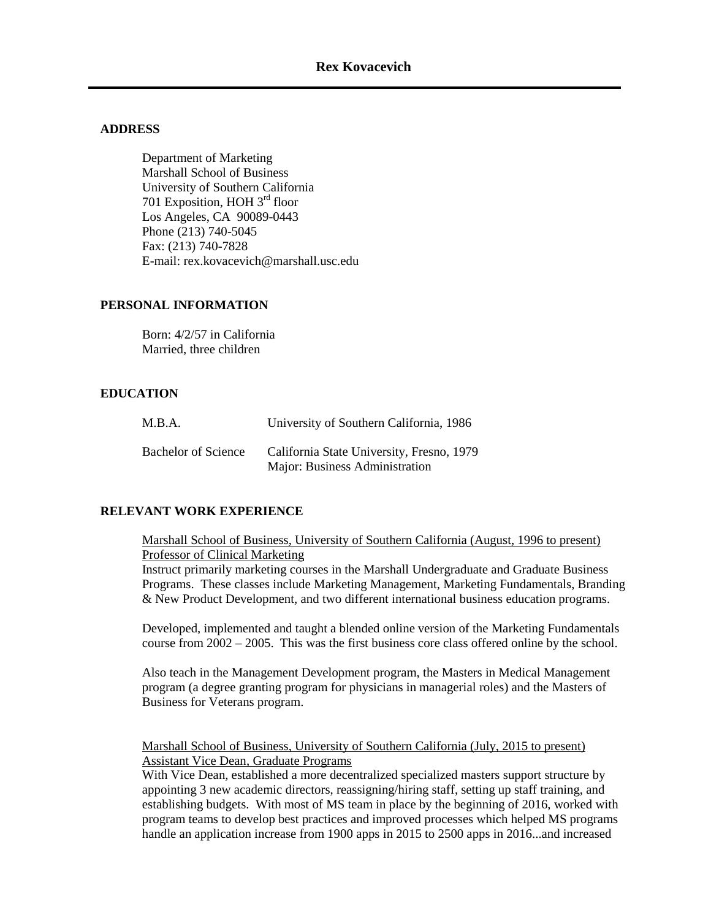#### **ADDRESS**

Department of Marketing Marshall School of Business University of Southern California 701 Exposition, HOH 3rd floor Los Angeles, CA 90089-0443 Phone (213) 740-5045 Fax: (213) 740-7828 E-mail: rex.kovacevich@marshall.usc.edu

#### **PERSONAL INFORMATION**

Born: 4/2/57 in California Married, three children

#### **EDUCATION**

| M.B.A.                     | University of Southern California, 1986                                     |
|----------------------------|-----------------------------------------------------------------------------|
| <b>Bachelor of Science</b> | California State University, Fresno, 1979<br>Major: Business Administration |

#### **RELEVANT WORK EXPERIENCE**

Marshall School of Business, University of Southern California (August, 1996 to present) Professor of Clinical Marketing

Instruct primarily marketing courses in the Marshall Undergraduate and Graduate Business Programs. These classes include Marketing Management, Marketing Fundamentals, Branding & New Product Development, and two different international business education programs.

Developed, implemented and taught a blended online version of the Marketing Fundamentals course from 2002 – 2005. This was the first business core class offered online by the school.

Also teach in the Management Development program, the Masters in Medical Management program (a degree granting program for physicians in managerial roles) and the Masters of Business for Veterans program.

Marshall School of Business, University of Southern California (July, 2015 to present) Assistant Vice Dean, Graduate Programs

With Vice Dean, established a more decentralized specialized masters support structure by appointing 3 new academic directors, reassigning/hiring staff, setting up staff training, and establishing budgets. With most of MS team in place by the beginning of 2016, worked with program teams to develop best practices and improved processes which helped MS programs handle an application increase from 1900 apps in 2015 to 2500 apps in 2016...and increased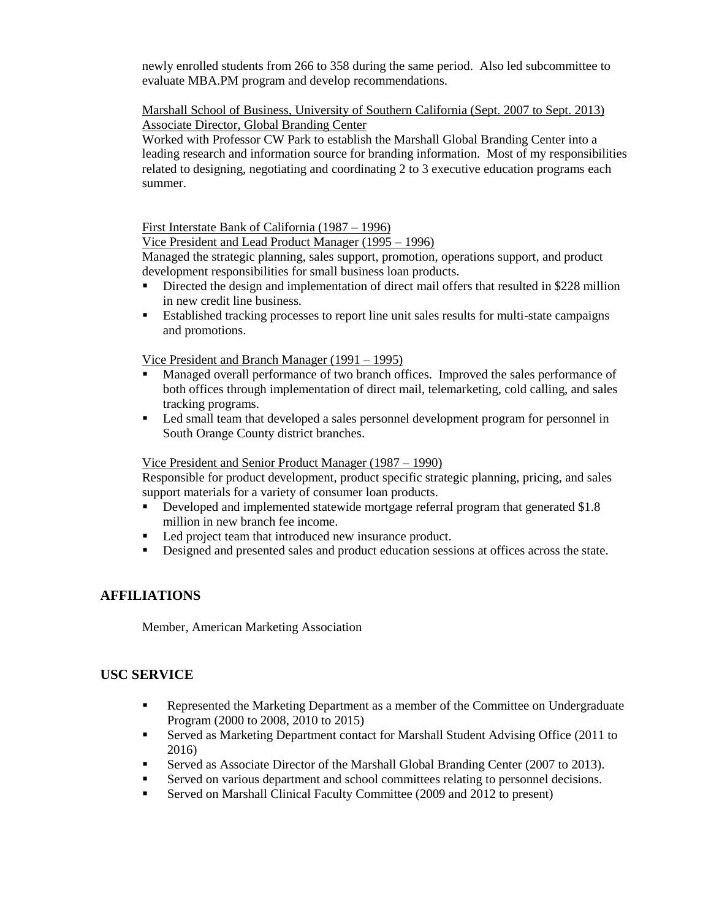newly enrolled students from 266 to 358 during the same period. Also led subcommittee to evaluate MBA.PM program and develop recommendations.

### Marshall School of Business, University of Southern California (Sept. 2007 to Sept. 2013) Associate Director, Global Branding Center

Worked with Professor CW Park to establish the Marshall Global Branding Center into a leading research and information source for branding information. Most of my responsibilities related to designing, negotiating and coordinating 2 to 3 executive education programs each summer.

First Interstate Bank of California (1987 – 1996)

Vice President and Lead Product Manager (1995 – 1996)

Managed the strategic planning, sales support, promotion, operations support, and product development responsibilities for small business loan products.

- Directed the design and implementation of direct mail offers that resulted in \$228 million in new credit line business.
- Established tracking processes to report line unit sales results for multi-state campaigns and promotions.

Vice President and Branch Manager (1991 – 1995)

- Managed overall performance of two branch offices. Improved the sales performance of both offices through implementation of direct mail, telemarketing, cold calling, and sales tracking programs.
- Led small team that developed a sales personnel development program for personnel in South Orange County district branches.

#### Vice President and Senior Product Manager (1987 – 1990)

Responsible for product development, product specific strategic planning, pricing, and sales support materials for a variety of consumer loan products.

- Developed and implemented statewide mortgage referral program that generated \$1.8 million in new branch fee income.
- Led project team that introduced new insurance product.
- Designed and presented sales and product education sessions at offices across the state.

## **AFFILIATIONS**

Member, American Marketing Association

## **USC SERVICE**

- Represented the Marketing Department as a member of the Committee on Undergraduate Program (2000 to 2008, 2010 to 2015)
- Served as Marketing Department contact for Marshall Student Advising Office (2011 to 2016)
- Served as Associate Director of the Marshall Global Branding Center (2007 to 2013).
- Served on various department and school committees relating to personnel decisions.
- Served on Marshall Clinical Faculty Committee (2009 and 2012 to present)